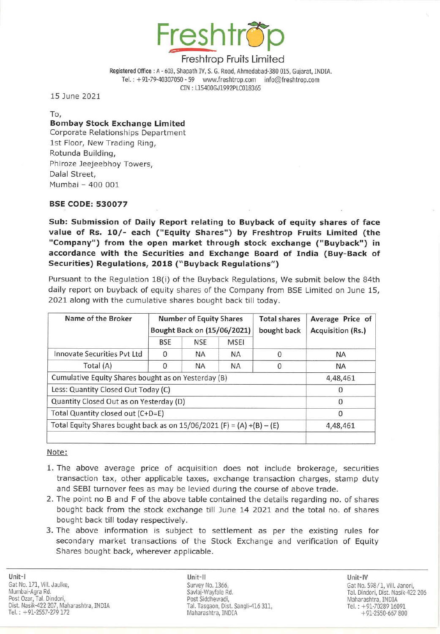

Registered Office: A - 603, Shapath IV, S. G. Road, Ahmedabad-380 015, Gujarat, INDIA. Tel.: +91-79-40307050 - 59 www.freshtrop.com info@freshtrop.com CIN : 115400GJ1992PlC018365

15 June 2021

To,

## Bombay Stock Exchange Limited

Corporate Relationships Department 1st Floor, New Trading Ring, Rotunda Building, Phiroze Jeejeebhoy Towers, Dalal Street, Mumbai - 400 001

### BSE CODE: 530077

Sub: Submission of Daily Report relating to Buyback of equity shares of face value of Rs. 10/- each ("Equity Shares") by Freshtrop Fruits Limited (the "Company") from the open market through stock exchange ("Buyback") in accordance with the Securities and Exchange Board of India (Buy-Back of Securities) Regulations, 2018 ("Buyback Regulations")

Pursuant to the Regulation 18(i) of the Buyback Regulations, We submit below the 84th daily report on buyback of equity shares of the Company from BSE Limited on June 15, 2021 along with the cumulative shares bought back till today.

| Name of the Broker                                                      | <b>Number of Equity Shares</b><br>Bought Back on (15/06/2021) |            |             | <b>Total shares</b><br>bought back | Average Price of<br><b>Acquisition (Rs.)</b> |
|-------------------------------------------------------------------------|---------------------------------------------------------------|------------|-------------|------------------------------------|----------------------------------------------|
|                                                                         | <b>BSE</b>                                                    | <b>NSE</b> | <b>MSEI</b> |                                    |                                              |
| Innovate Securities Pvt Ltd                                             | 0                                                             | <b>NA</b>  | <b>NA</b>   | 0                                  | <b>NA</b>                                    |
| Total (A)                                                               | 0                                                             | <b>NA</b>  | <b>NA</b>   | 0                                  | <b>NA</b>                                    |
| Cumulative Equity Shares bought as on Yesterday (B)                     |                                                               |            |             |                                    | 4,48,461                                     |
| Less: Quantity Closed Out Today (C)                                     |                                                               |            |             |                                    | 0                                            |
| Quantity Closed Out as on Yesterday (D)                                 |                                                               |            |             |                                    | 0                                            |
| Total Quantity closed out (C+D=E)                                       |                                                               |            |             |                                    | 0                                            |
| Total Equity Shares bought back as on $15/06/2021$ (F) = (A) +(B) – (E) |                                                               |            |             |                                    | 4,48,461                                     |
|                                                                         |                                                               |            |             |                                    |                                              |

Note:

- 1. The above average price of acquisition does not include brokerage, securities transaction tax, other applicable taxes, exchange transaction charges, stamp duty and SEBI turnover fees as may be levied during the course of above trade.
- 2. The point no Band F of the above table contained the details regarding no. of shares bought back from the stock exchange till June 14 2021 and the total no. of shares bought back till today respectively.
- 3. The above information is subject to settlement as per the existing rules for secondary market transactions of the Stock Exchange and verification of Equity Shares bought back, wherever applicable.

Unit-II Unit-IV Savlaj-Wayfale Rd. Post Siddhewadi, Tal. Tasgaon, Oist. Sangli-416 311, Maharashtra, INDIA